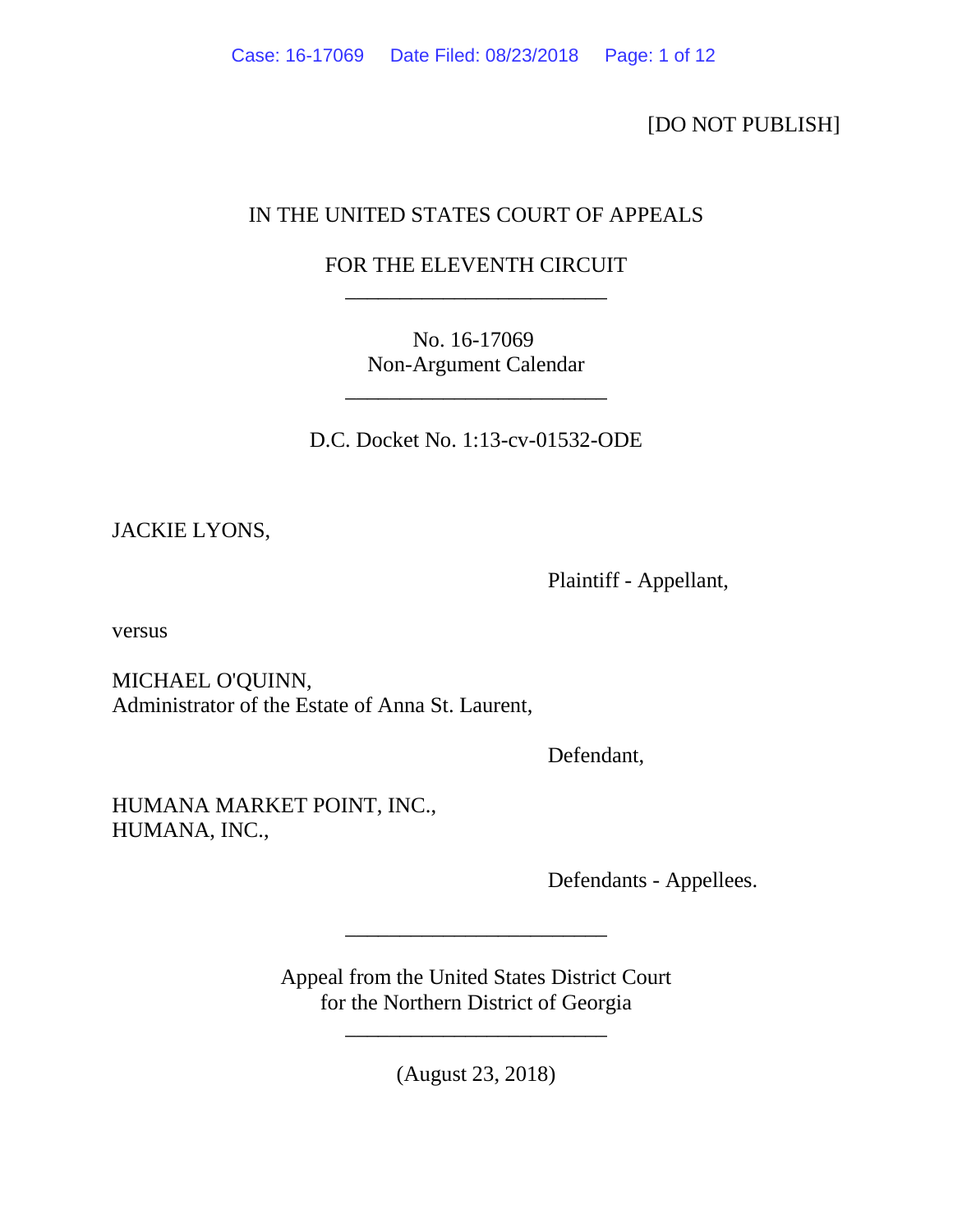[DO NOT PUBLISH]

# IN THE UNITED STATES COURT OF APPEALS

# FOR THE ELEVENTH CIRCUIT \_\_\_\_\_\_\_\_\_\_\_\_\_\_\_\_\_\_\_\_\_\_\_\_

No. 16-17069 Non-Argument Calendar

\_\_\_\_\_\_\_\_\_\_\_\_\_\_\_\_\_\_\_\_\_\_\_\_

D.C. Docket No. 1:13-cv-01532-ODE

JACKIE LYONS,

Plaintiff - Appellant,

versus

MICHAEL O'QUINN, Administrator of the Estate of Anna St. Laurent,

Defendant,

HUMANA MARKET POINT, INC., HUMANA, INC.,

Defendants - Appellees.

Appeal from the United States District Court for the Northern District of Georgia

\_\_\_\_\_\_\_\_\_\_\_\_\_\_\_\_\_\_\_\_\_\_\_\_

\_\_\_\_\_\_\_\_\_\_\_\_\_\_\_\_\_\_\_\_\_\_\_\_

(August 23, 2018)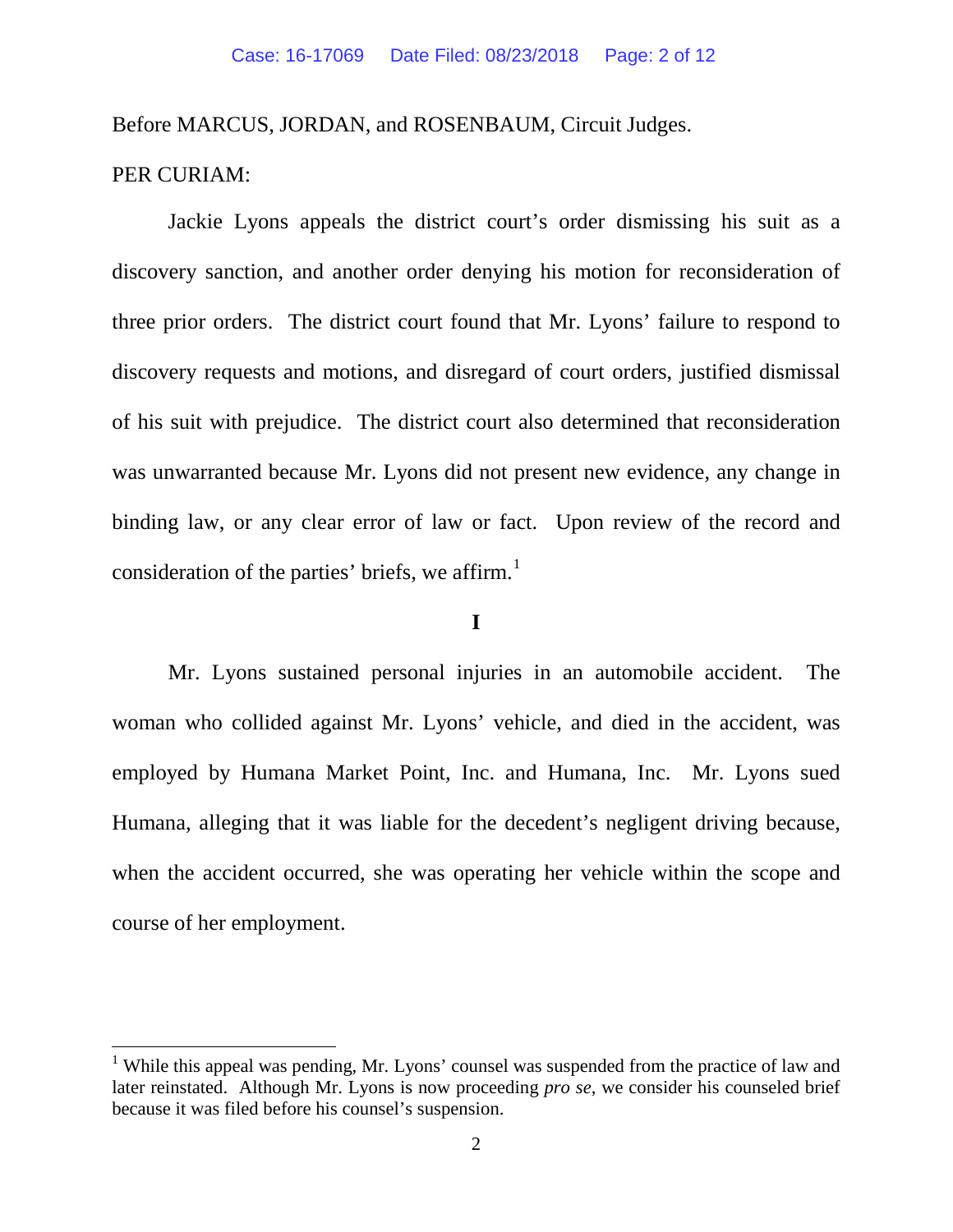Before MARCUS, JORDAN, and ROSENBAUM, Circuit Judges.

## PER CURIAM:

Jackie Lyons appeals the district court's order dismissing his suit as a discovery sanction, and another order denying his motion for reconsideration of three prior orders. The district court found that Mr. Lyons' failure to respond to discovery requests and motions, and disregard of court orders, justified dismissal of his suit with prejudice. The district court also determined that reconsideration was unwarranted because Mr. Lyons did not present new evidence, any change in binding law, or any clear error of law or fact. Upon review of the record and consideration of the parties' briefs, we affirm.<sup>[1](#page-1-0)</sup>

## **I**

Mr. Lyons sustained personal injuries in an automobile accident. The woman who collided against Mr. Lyons' vehicle, and died in the accident, was employed by Humana Market Point, Inc. and Humana, Inc. Mr. Lyons sued Humana, alleging that it was liable for the decedent's negligent driving because, when the accident occurred, she was operating her vehicle within the scope and course of her employment.

<span id="page-1-0"></span><sup>&</sup>lt;sup>1</sup> While this appeal was pending, Mr. Lyons' counsel was suspended from the practice of law and later reinstated. Although Mr. Lyons is now proceeding *pro se*, we consider his counseled brief because it was filed before his counsel's suspension.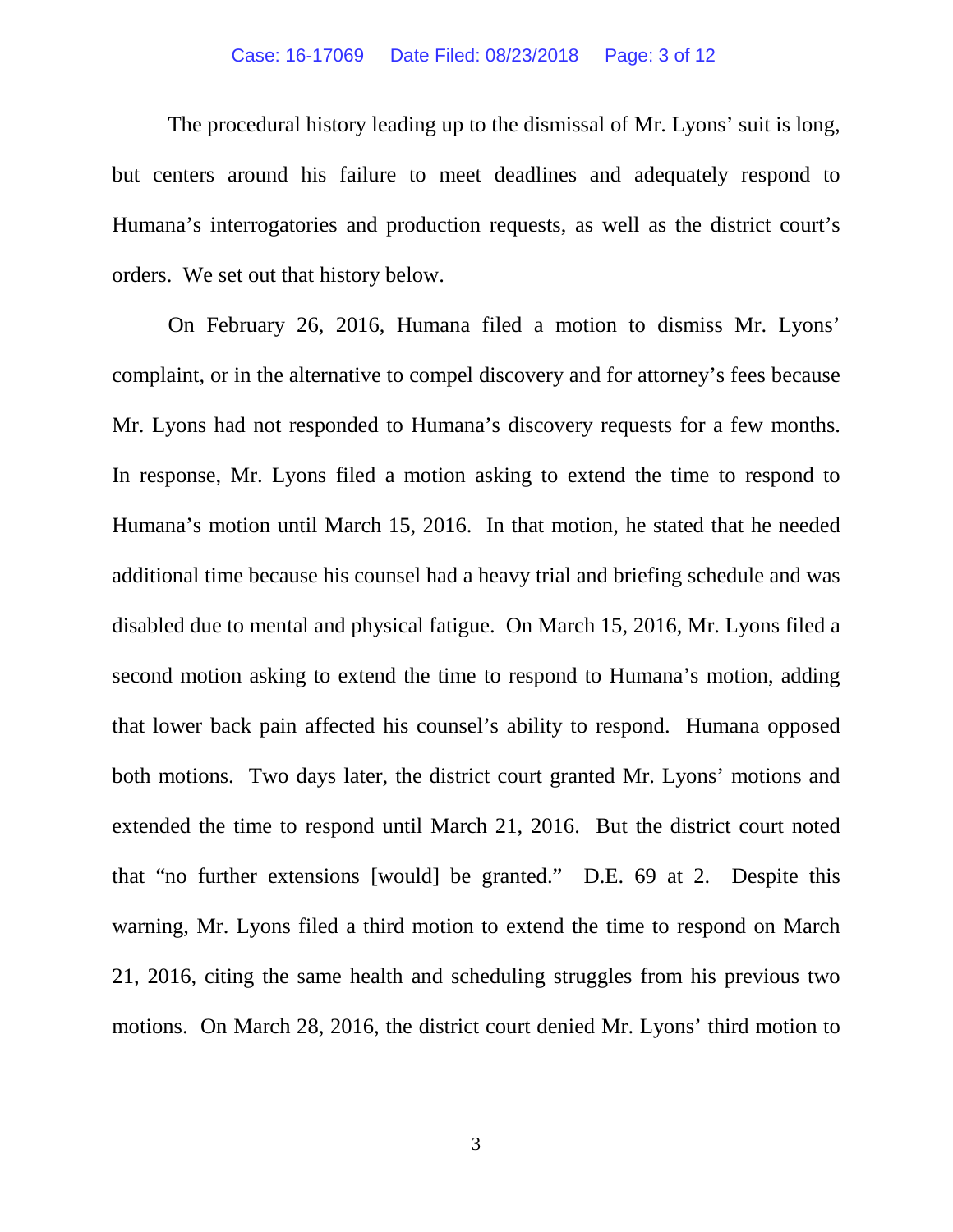### Case: 16-17069 Date Filed: 08/23/2018 Page: 3 of 12

The procedural history leading up to the dismissal of Mr. Lyons' suit is long, but centers around his failure to meet deadlines and adequately respond to Humana's interrogatories and production requests, as well as the district court's orders. We set out that history below.

On February 26, 2016, Humana filed a motion to dismiss Mr. Lyons' complaint, or in the alternative to compel discovery and for attorney's fees because Mr. Lyons had not responded to Humana's discovery requests for a few months. In response, Mr. Lyons filed a motion asking to extend the time to respond to Humana's motion until March 15, 2016. In that motion, he stated that he needed additional time because his counsel had a heavy trial and briefing schedule and was disabled due to mental and physical fatigue. On March 15, 2016, Mr. Lyons filed a second motion asking to extend the time to respond to Humana's motion, adding that lower back pain affected his counsel's ability to respond. Humana opposed both motions. Two days later, the district court granted Mr. Lyons' motions and extended the time to respond until March 21, 2016. But the district court noted that "no further extensions [would] be granted."D.E. 69 at 2. Despite this warning, Mr. Lyons filed a third motion to extend the time to respond on March 21, 2016, citing the same health and scheduling struggles from his previous two motions. On March 28, 2016, the district court denied Mr. Lyons' third motion to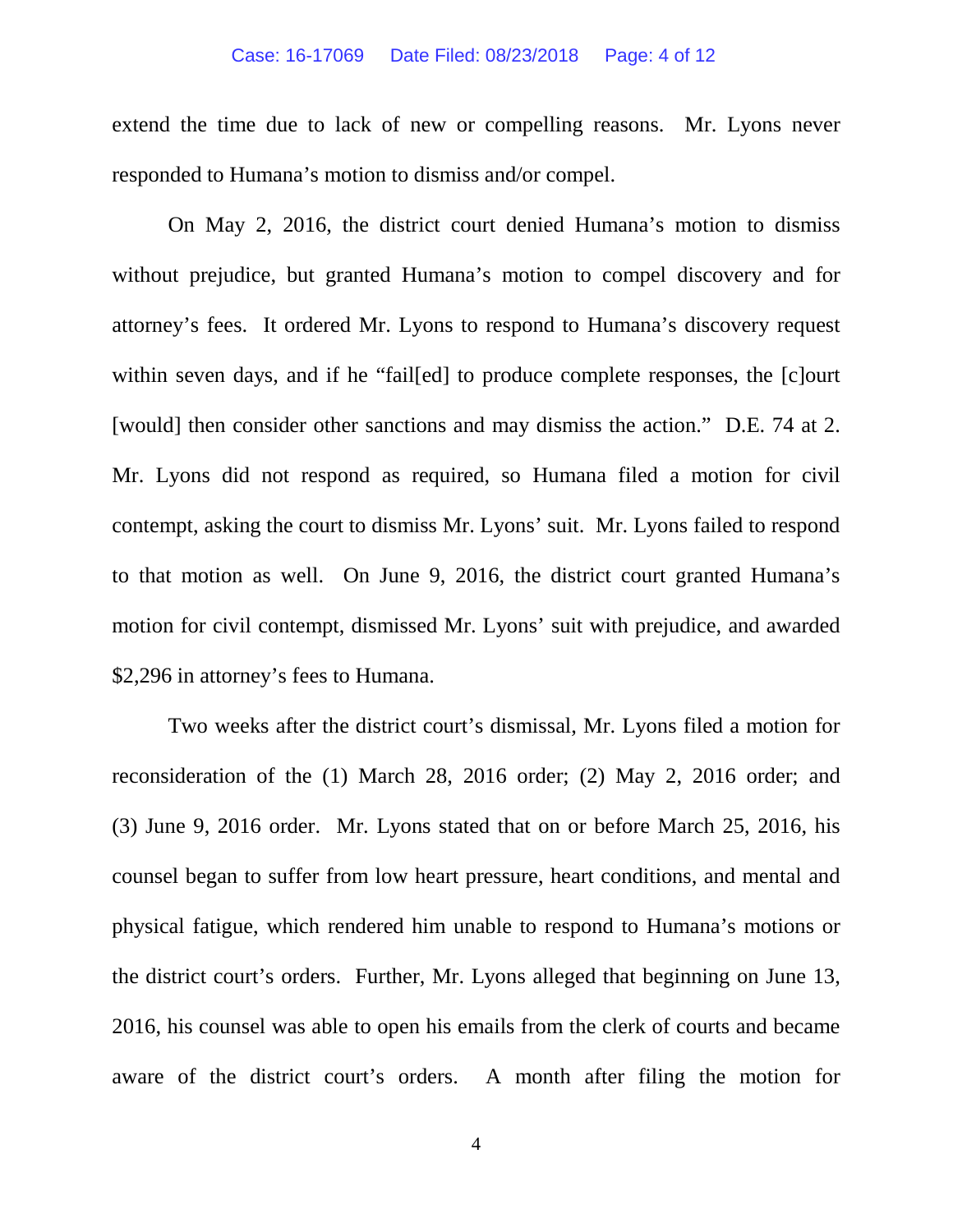#### Case: 16-17069 Date Filed: 08/23/2018 Page: 4 of 12

extend the time due to lack of new or compelling reasons. Mr. Lyons never responded to Humana's motion to dismiss and/or compel.

On May 2, 2016, the district court denied Humana's motion to dismiss without prejudice, but granted Humana's motion to compel discovery and for attorney's fees. It ordered Mr. Lyons to respond to Humana's discovery request within seven days, and if he "fail[ed] to produce complete responses, the [c]ourt [would] then consider other sanctions and may dismiss the action." D.E. 74 at 2. Mr. Lyons did not respond as required, so Humana filed a motion for civil contempt, asking the court to dismiss Mr. Lyons' suit. Mr. Lyons failed to respond to that motion as well. On June 9, 2016, the district court granted Humana's motion for civil contempt, dismissed Mr. Lyons' suit with prejudice, and awarded \$2,296 in attorney's fees to Humana.

Two weeks after the district court's dismissal, Mr. Lyons filed a motion for reconsideration of the (1) March 28, 2016 order; (2) May 2, 2016 order; and (3) June 9, 2016 order. Mr. Lyons stated that on or before March 25, 2016, his counsel began to suffer from low heart pressure, heart conditions, and mental and physical fatigue, which rendered him unable to respond to Humana's motions or the district court's orders. Further, Mr. Lyons alleged that beginning on June 13, 2016, his counsel was able to open his emails from the clerk of courts and became aware of the district court's orders. A month after filing the motion for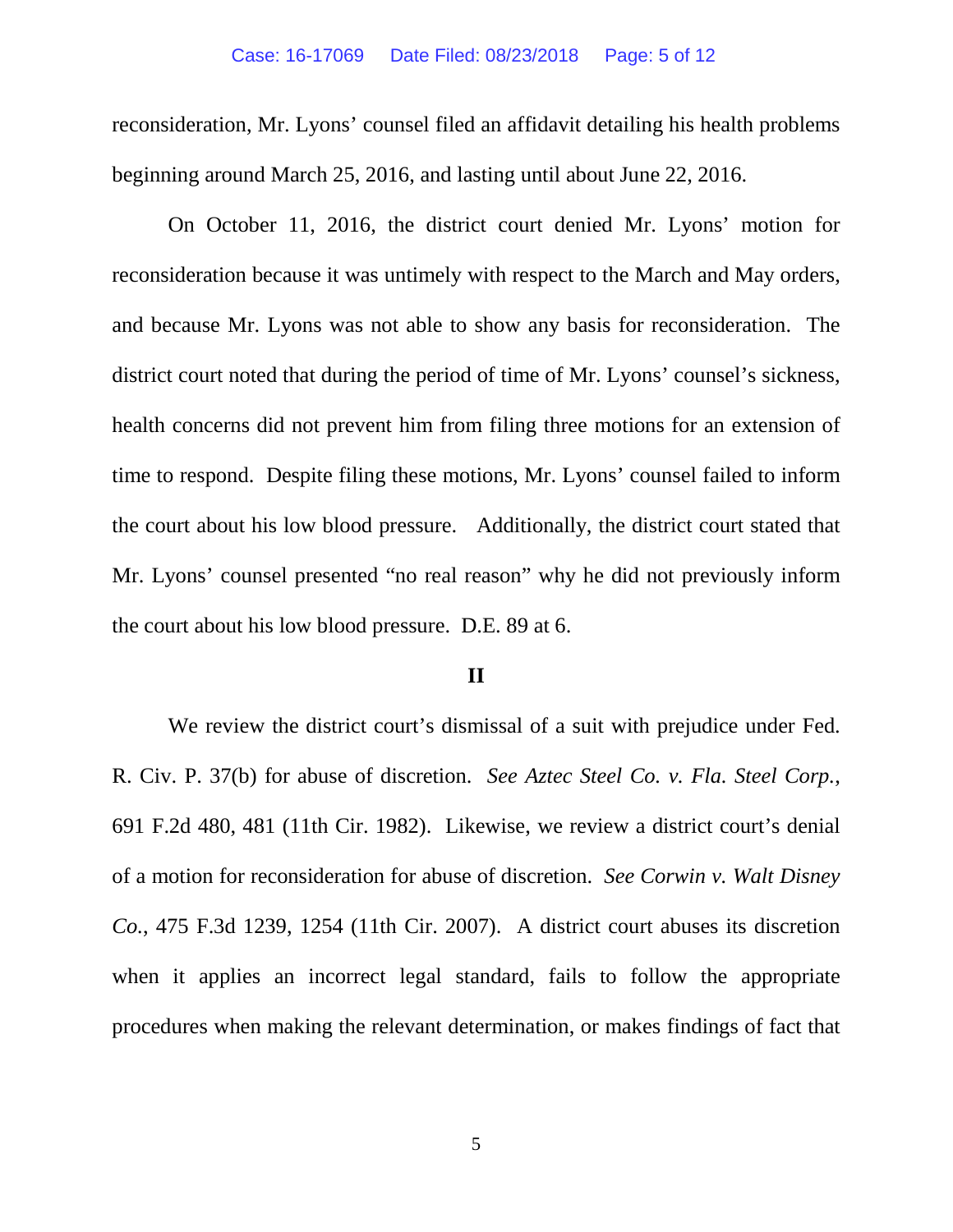reconsideration, Mr. Lyons' counsel filed an affidavit detailing his health problems beginning around March 25, 2016, and lasting until about June 22, 2016.

On October 11, 2016, the district court denied Mr. Lyons' motion for reconsideration because it was untimely with respect to the March and May orders, and because Mr. Lyons was not able to show any basis for reconsideration. The district court noted that during the period of time of Mr. Lyons' counsel's sickness, health concerns did not prevent him from filing three motions for an extension of time to respond. Despite filing these motions, Mr. Lyons' counsel failed to inform the court about his low blood pressure. Additionally, the district court stated that Mr. Lyons' counsel presented "no real reason" why he did not previously inform the court about his low blood pressure. D.E. 89 at 6.

### **II**

We review the district court's dismissal of a suit with prejudice under Fed. R. Civ. P. 37(b) for abuse of discretion. *See Aztec Steel Co. v. Fla. Steel Corp.*, 691 F.2d 480, 481 (11th Cir. 1982). Likewise, we review a district court's denial of a motion for reconsideration for abuse of discretion. *See Corwin v. Walt Disney Co.*, 475 F.3d 1239, 1254 (11th Cir. 2007). A district court abuses its discretion when it applies an incorrect legal standard, fails to follow the appropriate procedures when making the relevant determination, or makes findings of fact that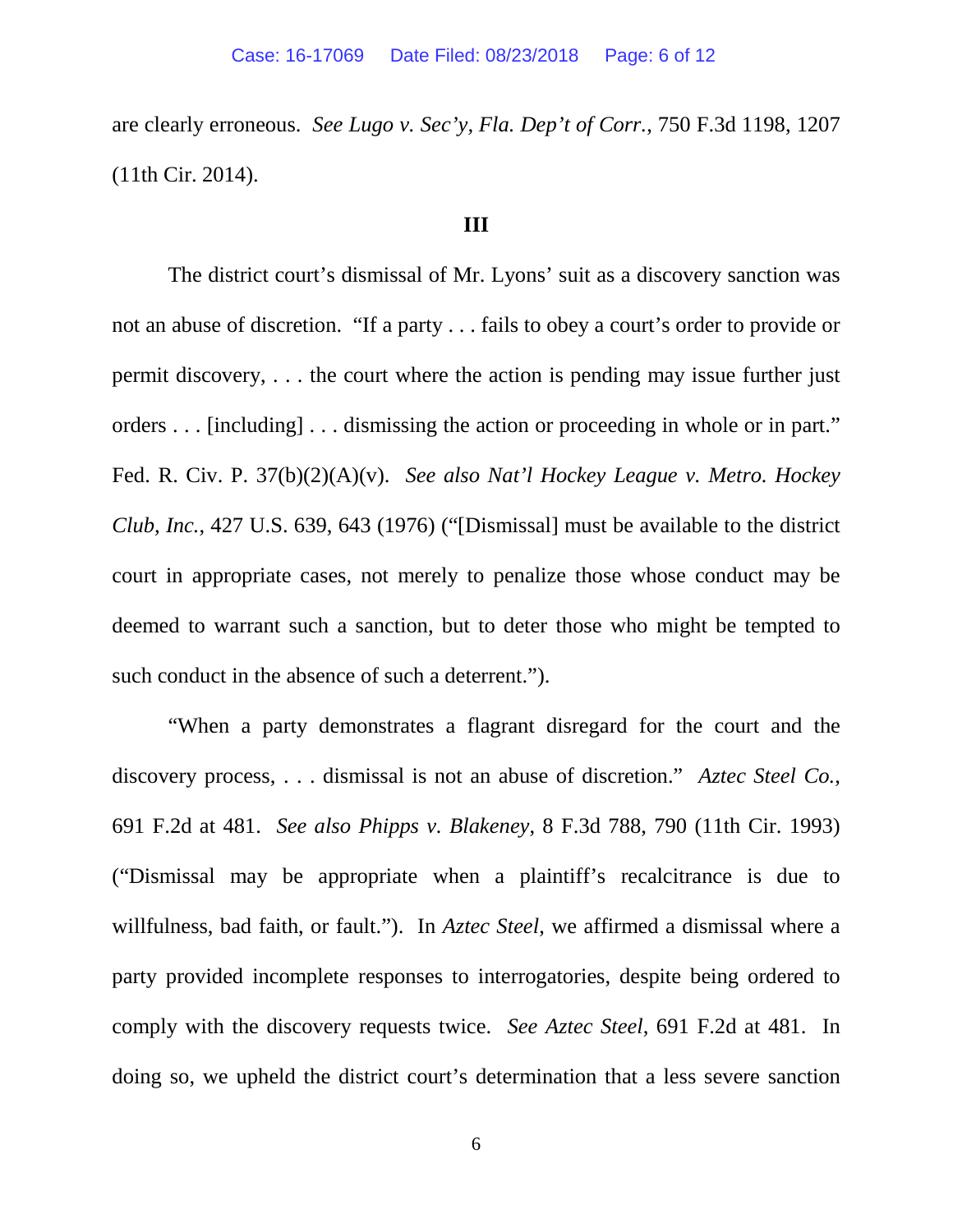are clearly erroneous. *See Lugo v. Sec'y, Fla. Dep't of Corr.*, 750 F.3d 1198, 1207 (11th Cir. 2014).

### **III**

The district court's dismissal of Mr. Lyons' suit as a discovery sanction was not an abuse of discretion. "If a party . . . fails to obey a court's order to provide or permit discovery, . . . the court where the action is pending may issue further just orders . . . [including] . . . dismissing the action or proceeding in whole or in part." Fed. R. Civ. P. 37(b)(2)(A)(v). *See also Nat'l Hockey League v. Metro. Hockey Club, Inc.*, 427 U.S. 639, 643 (1976) ("[Dismissal] must be available to the district court in appropriate cases, not merely to penalize those whose conduct may be deemed to warrant such a sanction, but to deter those who might be tempted to such conduct in the absence of such a deterrent.").

"When a party demonstrates a flagrant disregard for the court and the discovery process, . . . dismissal is not an abuse of discretion." *Aztec Steel Co.*, 691 F.2d at 481. *See also Phipps v. Blakeney*, 8 F.3d 788, 790 (11th Cir. 1993) ("Dismissal may be appropriate when a plaintiff's recalcitrance is due to willfulness, bad faith, or fault."). In *Aztec Steel*, we affirmed a dismissal where a party provided incomplete responses to interrogatories, despite being ordered to comply with the discovery requests twice. *See Aztec Steel*, 691 F.2d at 481. In doing so, we upheld the district court's determination that a less severe sanction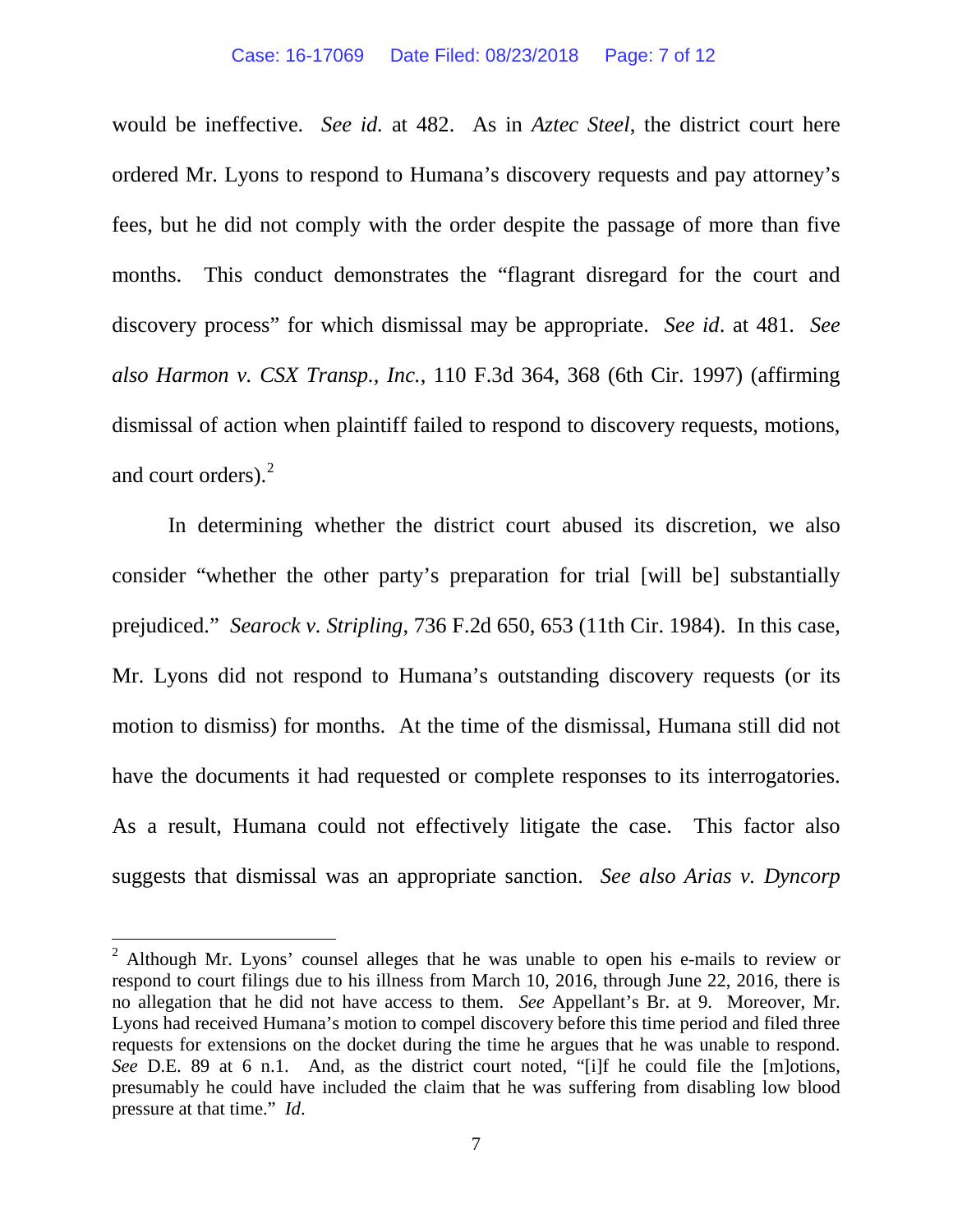would be ineffective. *See id.* at 482. As in *Aztec Steel*, the district court here ordered Mr. Lyons to respond to Humana's discovery requests and pay attorney's fees, but he did not comply with the order despite the passage of more than five months. This conduct demonstrates the "flagrant disregard for the court and discovery process" for which dismissal may be appropriate. *See id*. at 481. *See also Harmon v. CSX Transp., Inc.*, 110 F.3d 364, 368 (6th Cir. 1997) (affirming dismissal of action when plaintiff failed to respond to discovery requests, motions, and court orders).[2](#page-6-0)

In determining whether the district court abused its discretion, we also consider "whether the other party's preparation for trial [will be] substantially prejudiced." *Searock v. Stripling*, 736 F.2d 650, 653 (11th Cir. 1984). In this case, Mr. Lyons did not respond to Humana's outstanding discovery requests (or its motion to dismiss) for months. At the time of the dismissal, Humana still did not have the documents it had requested or complete responses to its interrogatories. As a result, Humana could not effectively litigate the case. This factor also suggests that dismissal was an appropriate sanction. *See also Arias v. Dyncorp* 

<span id="page-6-0"></span><sup>&</sup>lt;sup>2</sup> Although Mr. Lyons' counsel alleges that he was unable to open his e-mails to review or respond to court filings due to his illness from March 10, 2016, through June 22, 2016, there is no allegation that he did not have access to them. *See* Appellant's Br. at 9. Moreover, Mr. Lyons had received Humana's motion to compel discovery before this time period and filed three requests for extensions on the docket during the time he argues that he was unable to respond. *See* D.E. 89 at 6 n.1. And, as the district court noted, "[i]f he could file the [m]otions, presumably he could have included the claim that he was suffering from disabling low blood pressure at that time." *Id*.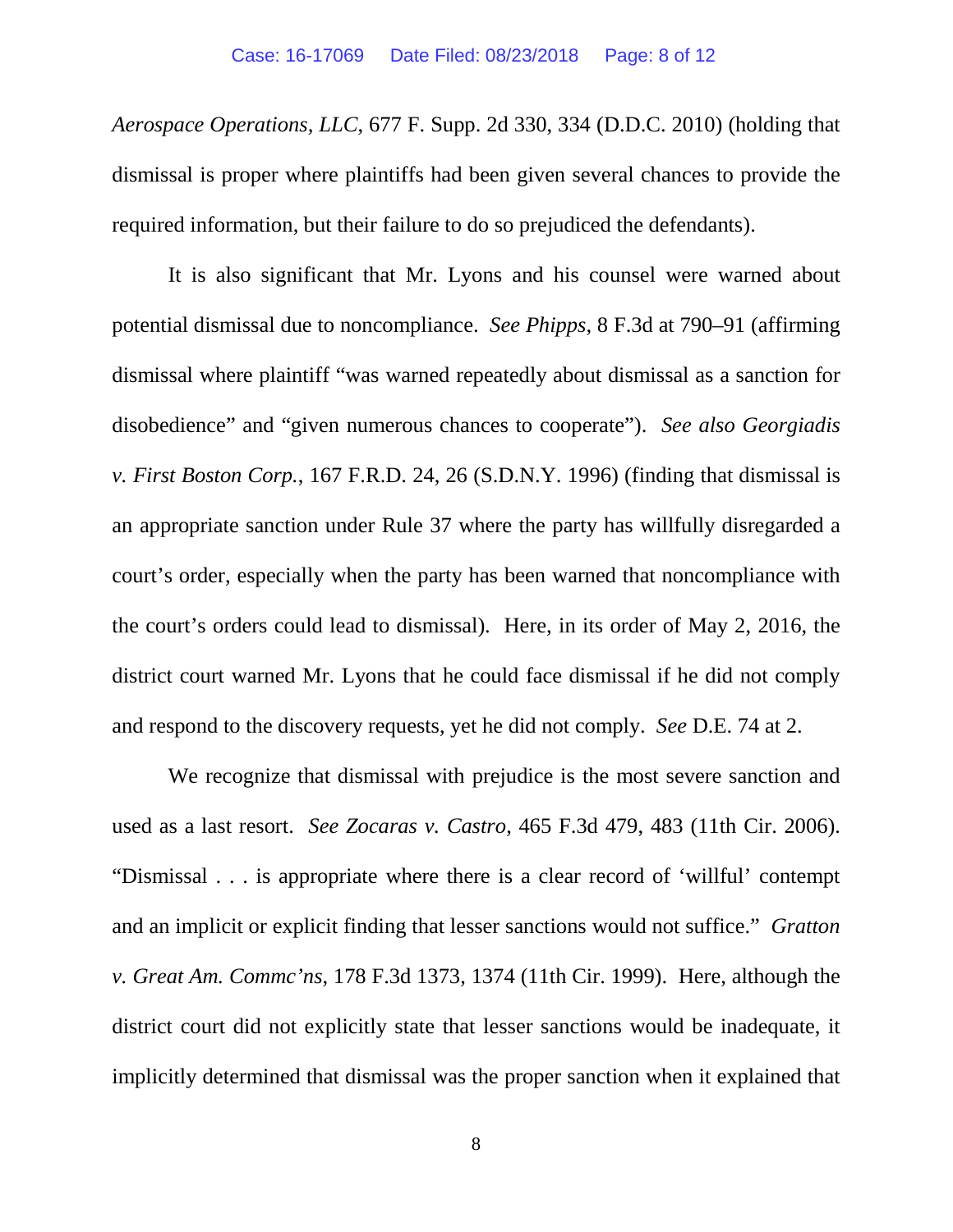*Aerospace Operations, LLC*, 677 F. Supp. 2d 330, 334 (D.D.C. 2010) (holding that dismissal is proper where plaintiffs had been given several chances to provide the required information, but their failure to do so prejudiced the defendants).

It is also significant that Mr. Lyons and his counsel were warned about potential dismissal due to noncompliance. *See Phipps*, 8 F.3d at 790–91 (affirming dismissal where plaintiff "was warned repeatedly about dismissal as a sanction for disobedience" and "given numerous chances to cooperate"). *See also Georgiadis v. First Boston Corp.*, 167 F.R.D. 24, 26 (S.D.N.Y. 1996) (finding that dismissal is an appropriate sanction under Rule 37 where the party has willfully disregarded a court's order, especially when the party has been warned that noncompliance with the court's orders could lead to dismissal). Here, in its order of May 2, 2016, the district court warned Mr. Lyons that he could face dismissal if he did not comply and respond to the discovery requests, yet he did not comply. *See* D.E. 74 at 2.

We recognize that dismissal with prejudice is the most severe sanction and used as a last resort. *See Zocaras v. Castro*, 465 F.3d 479, 483 (11th Cir. 2006). "Dismissal . . . is appropriate where there is a clear record of 'willful' contempt and an implicit or explicit finding that lesser sanctions would not suffice." *Gratton v. Great Am. Commc'ns*, 178 F.3d 1373, 1374 (11th Cir. 1999). Here, although the district court did not explicitly state that lesser sanctions would be inadequate, it implicitly determined that dismissal was the proper sanction when it explained that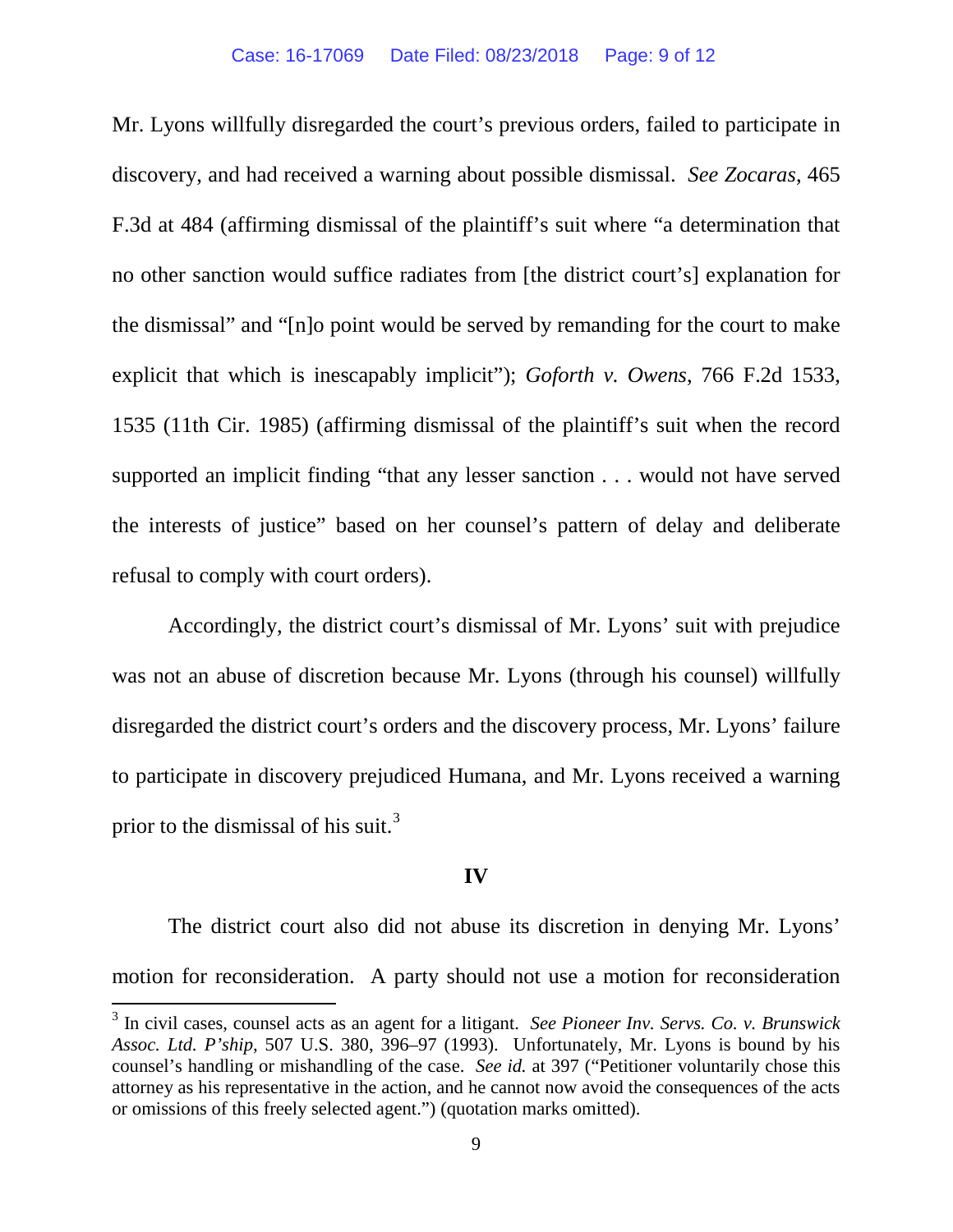Mr. Lyons willfully disregarded the court's previous orders, failed to participate in discovery, and had received a warning about possible dismissal. *See Zocaras*, 465 F.3d at 484 (affirming dismissal of the plaintiff's suit where "a determination that no other sanction would suffice radiates from [the district court's] explanation for the dismissal" and "[n]o point would be served by remanding for the court to make explicit that which is inescapably implicit"); *Goforth v. Owens*, 766 F.2d 1533, 1535 (11th Cir. 1985) (affirming dismissal of the plaintiff's suit when the record supported an implicit finding "that any lesser sanction . . . would not have served the interests of justice" based on her counsel's pattern of delay and deliberate refusal to comply with court orders).

Accordingly, the district court's dismissal of Mr. Lyons' suit with prejudice was not an abuse of discretion because Mr. Lyons (through his counsel) willfully disregarded the district court's orders and the discovery process, Mr. Lyons' failure to participate in discovery prejudiced Humana, and Mr. Lyons received a warning prior to the dismissal of his suit.<sup>[3](#page-8-0)</sup>

### **IV**

The district court also did not abuse its discretion in denying Mr. Lyons' motion for reconsideration. A party should not use a motion for reconsideration

<span id="page-8-0"></span> <sup>3</sup> In civil cases, counsel acts as an agent for a litigant. *See Pioneer Inv. Servs. Co. v. Brunswick Assoc. Ltd. P'ship*, 507 U.S. 380, 396–97 (1993). Unfortunately, Mr. Lyons is bound by his counsel's handling or mishandling of the case. *See id.* at 397 ("Petitioner voluntarily chose this attorney as his representative in the action, and he cannot now avoid the consequences of the acts or omissions of this freely selected agent.") (quotation marks omitted).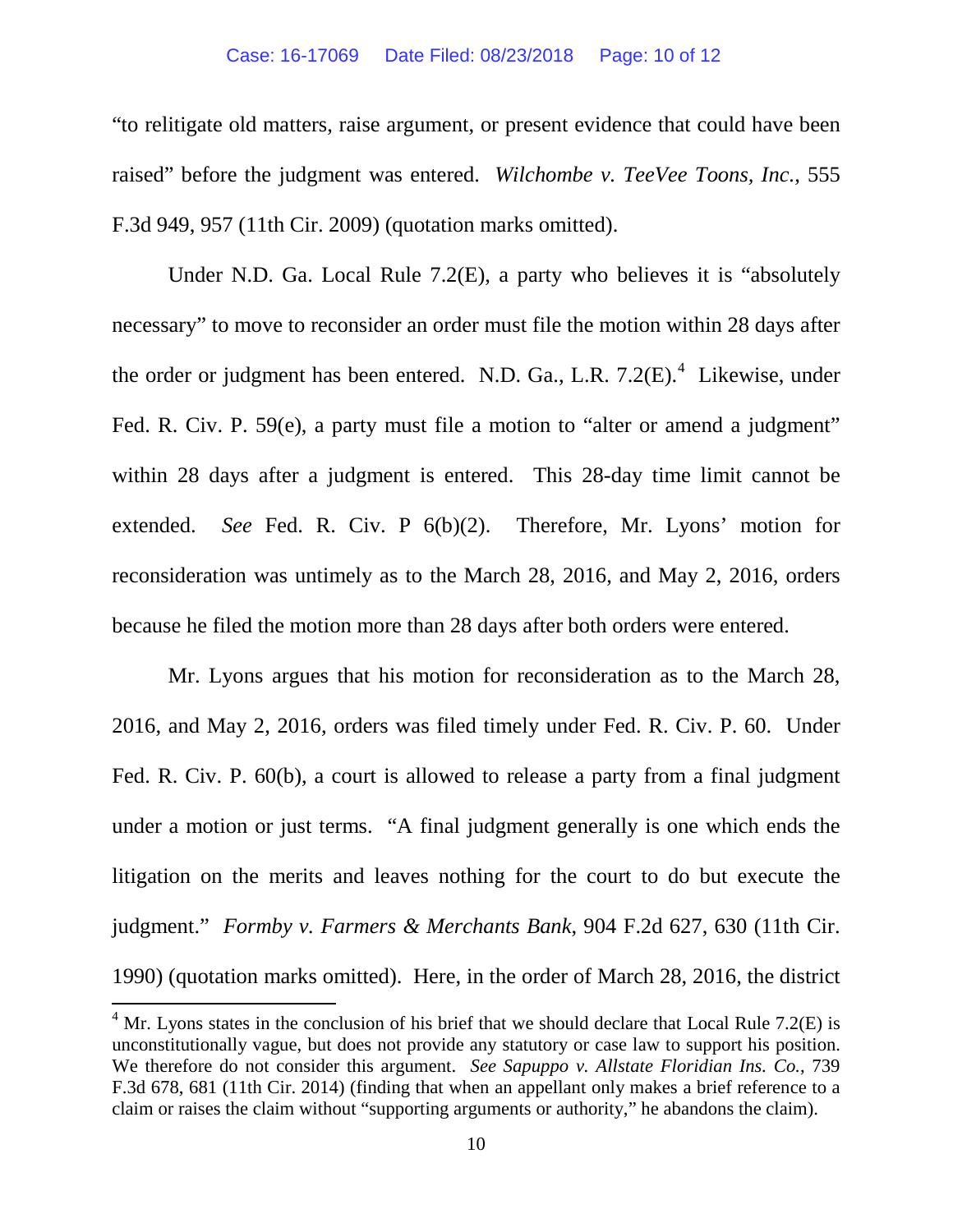### Case: 16-17069 Date Filed: 08/23/2018 Page: 10 of 12

"to relitigate old matters, raise argument, or present evidence that could have been raised" before the judgment was entered. *Wilchombe v. TeeVee Toons, Inc.*, 555 F.3d 949, 957 (11th Cir. 2009) (quotation marks omitted).

Under N.D. Ga. Local Rule 7.2(E), a party who believes it is "absolutely necessary" to move to reconsider an order must file the motion within 28 days after the order or judgment has been entered. N.D. Ga., L.R.  $7.2(E)$ .<sup>[4](#page-9-0)</sup> Likewise, under Fed. R. Civ. P. 59(e), a party must file a motion to "alter or amend a judgment" within 28 days after a judgment is entered. This 28-day time limit cannot be extended. *See* Fed. R. Civ. P 6(b)(2). Therefore, Mr. Lyons' motion for reconsideration was untimely as to the March 28, 2016, and May 2, 2016, orders because he filed the motion more than 28 days after both orders were entered.

Mr. Lyons argues that his motion for reconsideration as to the March 28, 2016, and May 2, 2016, orders was filed timely under Fed. R. Civ. P. 60. Under Fed. R. Civ. P. 60(b), a court is allowed to release a party from a final judgment under a motion or just terms. "A final judgment generally is one which ends the litigation on the merits and leaves nothing for the court to do but execute the judgment." *Formby v. Farmers & Merchants Bank*, 904 F.2d 627, 630 (11th Cir. 1990) (quotation marks omitted). Here, in the order of March 28, 2016, the district

<span id="page-9-0"></span> $4$  Mr. Lyons states in the conclusion of his brief that we should declare that Local Rule 7.2(E) is unconstitutionally vague, but does not provide any statutory or case law to support his position. We therefore do not consider this argument. *See Sapuppo v. Allstate Floridian Ins. Co.*, 739 F.3d 678, 681 (11th Cir. 2014) (finding that when an appellant only makes a brief reference to a claim or raises the claim without "supporting arguments or authority," he abandons the claim).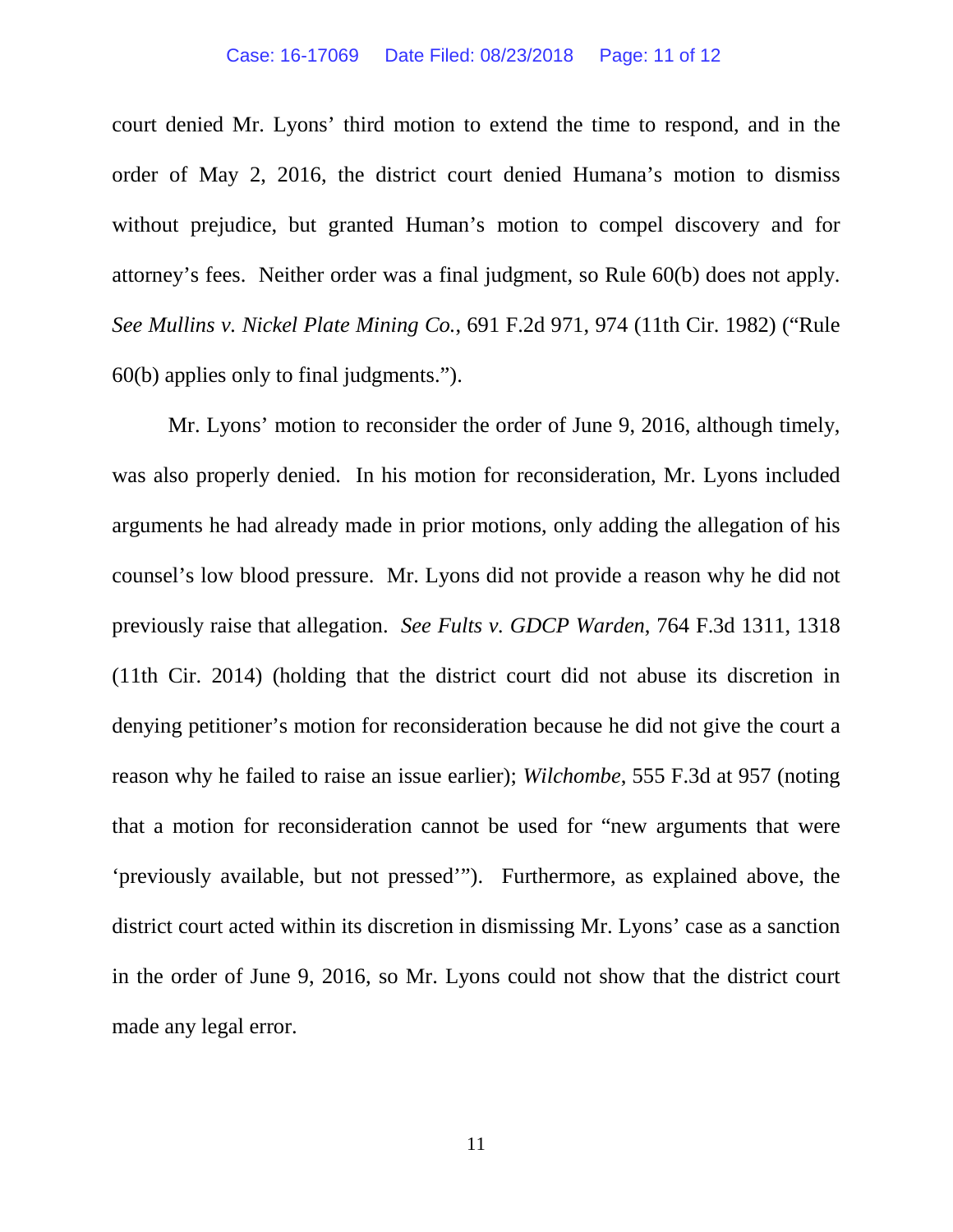court denied Mr. Lyons' third motion to extend the time to respond, and in the order of May 2, 2016, the district court denied Humana's motion to dismiss without prejudice, but granted Human's motion to compel discovery and for attorney's fees. Neither order was a final judgment, so Rule 60(b) does not apply. *See Mullins v. Nickel Plate Mining Co.*, 691 F.2d 971, 974 (11th Cir. 1982) ("Rule 60(b) applies only to final judgments.").

Mr. Lyons' motion to reconsider the order of June 9, 2016, although timely, was also properly denied. In his motion for reconsideration, Mr. Lyons included arguments he had already made in prior motions, only adding the allegation of his counsel's low blood pressure. Mr. Lyons did not provide a reason why he did not previously raise that allegation. *See Fults v. GDCP Warden*, 764 F.3d 1311, 1318 (11th Cir. 2014) (holding that the district court did not abuse its discretion in denying petitioner's motion for reconsideration because he did not give the court a reason why he failed to raise an issue earlier); *Wilchombe*, 555 F.3d at 957 (noting that a motion for reconsideration cannot be used for "new arguments that were 'previously available, but not pressed'"). Furthermore, as explained above, the district court acted within its discretion in dismissing Mr. Lyons' case as a sanction in the order of June 9, 2016, so Mr. Lyons could not show that the district court made any legal error.